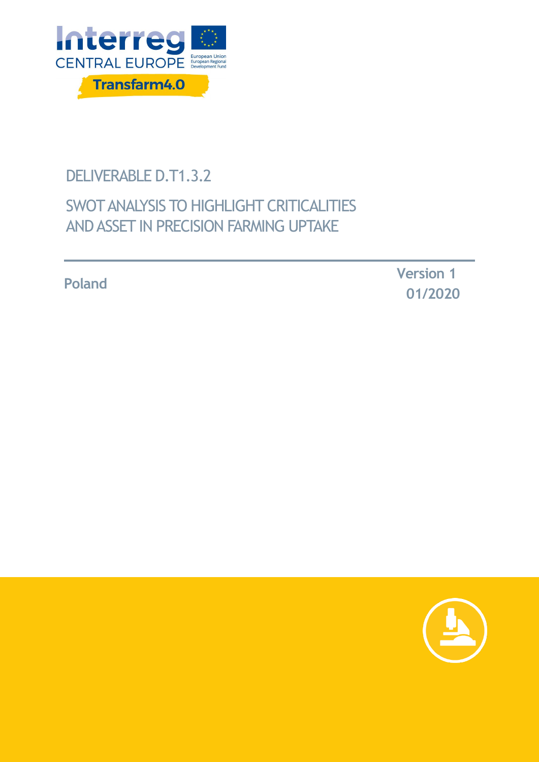

# DELIVERABLE D.T1.3.2

# SWOT ANALYSIS TO HIGHLIGHT CRITICALITIES AND ASSET IN PRECISION FARMING UPTAKE

**Poland Version <sup>1</sup> 01/2020**

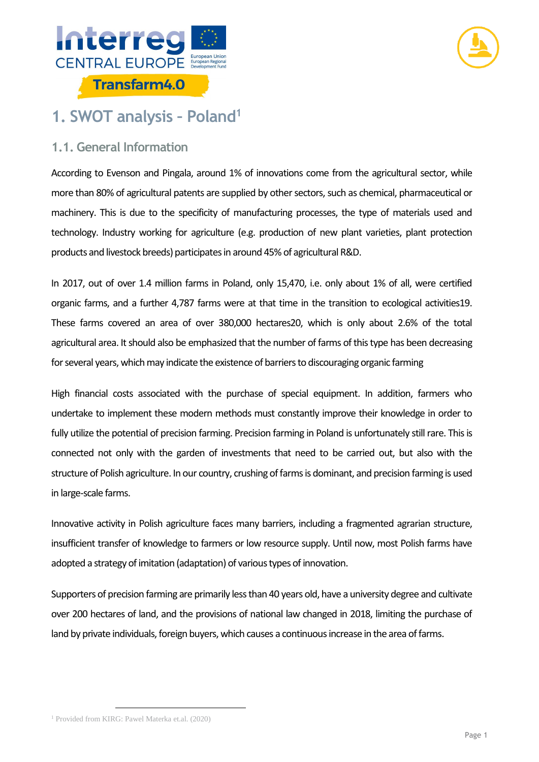



### **1. SWOT analysis – Poland<sup>1</sup>**

### **1.1. General Information**

According to Evenson and Pingala, around 1% of innovations come from the agricultural sector, while more than 80% of agricultural patents are supplied by other sectors, such as chemical, pharmaceutical or machinery. This is due to the specificity of manufacturing processes, the type of materials used and technology. Industry working for agriculture (e.g. production of new plant varieties, plant protection products and livestock breeds) participates in around 45% of agricultural R&D.

In 2017, out of over 1.4 million farms in Poland, only 15,470, i.e. only about 1% of all, were certified organic farms, and a further 4,787 farms were at that time in the transition to ecological activities19. These farms covered an area of over 380,000 hectares20, which is only about 2.6% of the total agricultural area. It should also be emphasized that the number of farms of this type has been decreasing for several years, which may indicate the existence of barriers to discouraging organic farming

High financial costs associated with the purchase of special equipment. In addition, farmers who undertake to implement these modern methods must constantly improve their knowledge in order to fully utilize the potential of precision farming. Precision farming in Poland is unfortunately still rare. This is connected not only with the garden of investments that need to be carried out, but also with the structure of Polish agriculture. In our country, crushing of farms is dominant, and precision farming is used in large-scale farms.

Innovative activity in Polish agriculture faces many barriers, including a fragmented agrarian structure, insufficient transfer of knowledge to farmers or low resource supply. Until now, most Polish farms have adopted a strategy of imitation (adaptation) of various types of innovation.

Supporters of precision farming are primarily less than 40 years old, have a university degree and cultivate over 200 hectares of land, and the provisions of national law changed in 2018, limiting the purchase of land by private individuals, foreign buyers, which causes a continuous increase in the area of farms.

<sup>1</sup> Provided from KIRG: Pawel Materka et.al. (2020)

-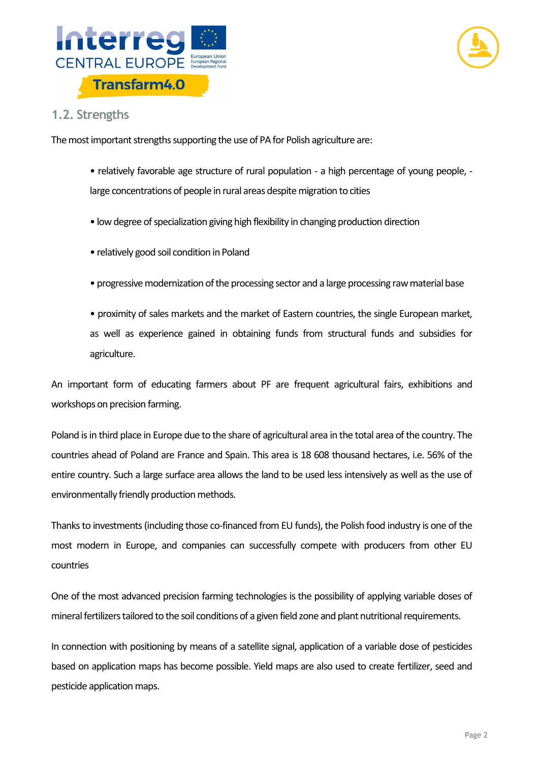



#### **1.2. Strengths**

The most important strengths supporting the use of PA for Polish agriculture are:

• relatively favorable age structure of rural population - a high percentage of young people, large concentrations of people in rural areas despite migration to cities

- low degree of specialization giving high flexibility in changing production direction
- relatively good soil condition in Poland
- progressive modernization of the processing sector and a large processing raw material base

• proximity of sales markets and the market of Eastern countries, the single European market, as well as experience gained in obtaining funds from structural funds and subsidies for agriculture.

An important form of educating farmers about PF are frequent agricultural fairs, exhibitions and workshops on precision farming.

Poland is in third place in Europe due to the share of agricultural area in the total area of the country. The countries ahead of Poland are France and Spain. This area is 18 608 thousand hectares, i.e. 56% of the entire country. Such a large surface area allows the land to be used less intensively as well as the use of environmentally friendly production methods.

Thanks to investments (including those co-financed from EU funds), the Polish food industry is one of the most modern in Europe, and companies can successfully compete with producers from other EU countries

One of the most advanced precision farming technologies is the possibility of applying variable doses of mineral fertilizers tailored to the soil conditions of a given field zone and plant nutritional requirements.

In connection with positioning by means of a satellite signal, application of a variable dose of pesticides based on application maps has become possible. Yield maps are also used to create fertilizer, seed and pesticide application maps.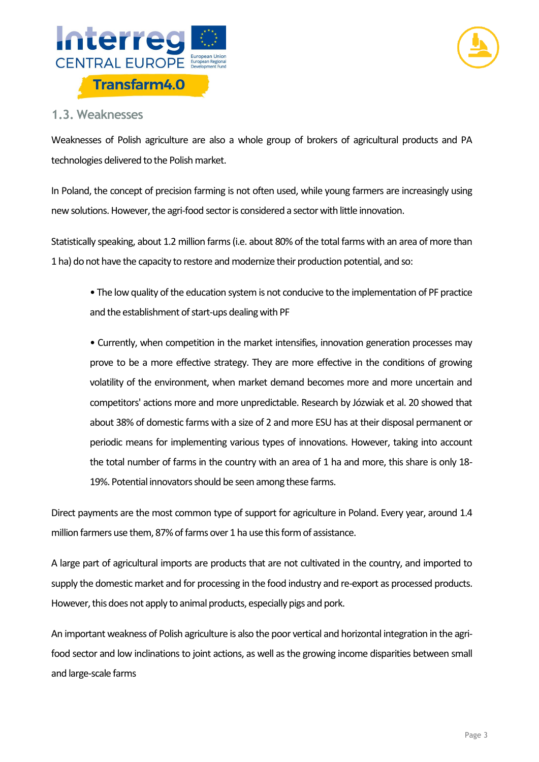



#### **1.3. Weaknesses**

Weaknesses of Polish agriculture are also a whole group of brokers of agricultural products and PA technologies delivered to the Polish market.

In Poland, the concept of precision farming is not often used, while young farmers are increasingly using new solutions. However, the agri-food sector is considered a sector with little innovation.

Statistically speaking, about 1.2 million farms (i.e. about 80% of the total farms with an area of more than 1 ha) do not have the capacity to restore and modernize their production potential, and so:

• The low quality of the education system is not conducive to the implementation of PF practice and the establishment of start-ups dealing with PF

• Currently, when competition in the market intensifies, innovation generation processes may prove to be a more effective strategy. They are more effective in the conditions of growing volatility of the environment, when market demand becomes more and more uncertain and competitors' actions more and more unpredictable. Research by Józwiak et al. 20 showed that about 38% of domestic farms with a size of 2 and more ESU has at their disposal permanent or periodic means for implementing various types of innovations. However, taking into account the total number of farms in the country with an area of 1 ha and more, this share is only 18- 19%. Potential innovators should be seen among these farms.

Direct payments are the most common type of support for agriculture in Poland. Every year, around 1.4 million farmers use them, 87% of farms over 1 ha use this form of assistance.

A large part of agricultural imports are products that are not cultivated in the country, and imported to supply the domestic market and for processing in the food industry and re-export as processed products. However, this does not apply to animal products, especially pigs and pork.

An important weakness of Polish agriculture is also the poor vertical and horizontal integration in the agrifood sector and low inclinations to joint actions, as well as the growing income disparities between small and large-scale farms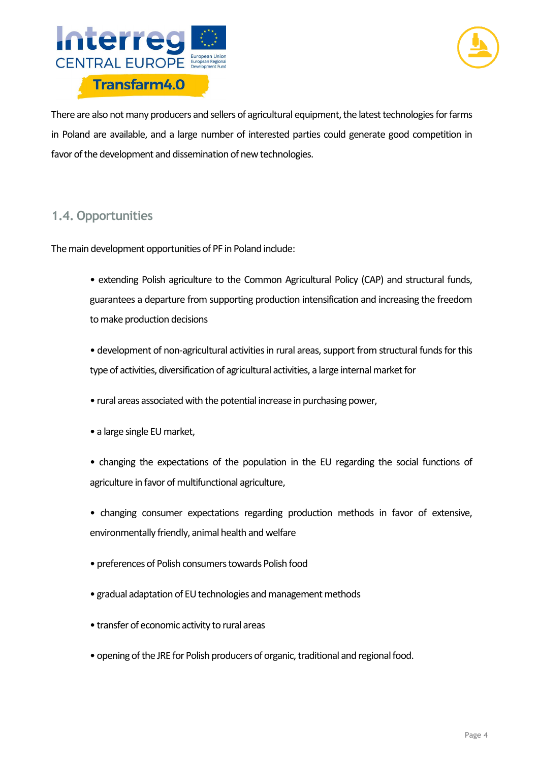



There are also not many producers and sellers of agricultural equipment, the latest technologies for farms in Poland are available, and a large number of interested parties could generate good competition in favor of the development and dissemination of new technologies.

### **1.4. Opportunities**

The main development opportunities of PF in Poland include:

- extending Polish agriculture to the Common Agricultural Policy (CAP) and structural funds, guarantees a departure from supporting production intensification and increasing the freedom to make production decisions
- development of non-agricultural activities in rural areas, support from structural funds for this type of activities, diversification of agricultural activities, a large internal market for
- rural areas associated with the potential increase in purchasing power,
- a large single EU market,
- changing the expectations of the population in the EU regarding the social functions of agriculture in favor of multifunctional agriculture,
- changing consumer expectations regarding production methods in favor of extensive, environmentally friendly, animal health and welfare
- preferences of Polish consumers towards Polish food
- gradual adaptation of EU technologies and management methods
- transfer of economic activity to rural areas
- opening of the JRE for Polish producers of organic, traditional and regional food.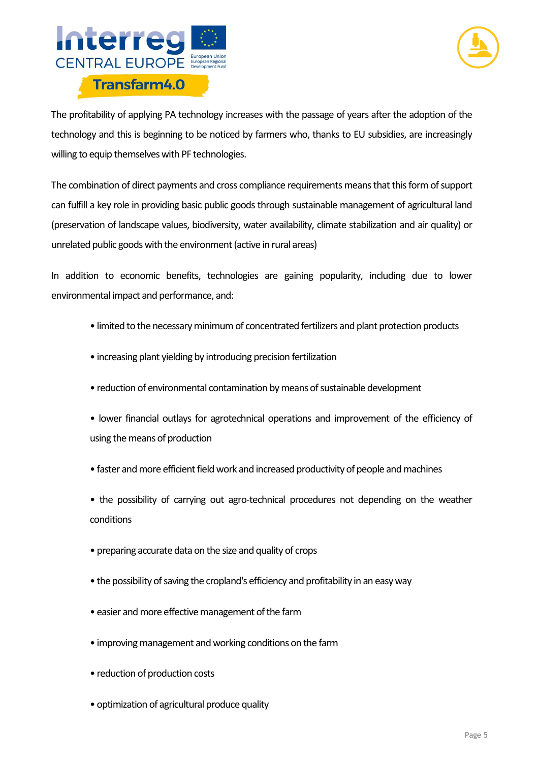



The profitability of applying PA technology increases with the passage of years after the adoption of the technology and this is beginning to be noticed by farmers who, thanks to EU subsidies, are increasingly willing to equip themselves with PF technologies.

The combination of direct payments and cross compliance requirements means that this form of support can fulfill a key role in providing basic public goods through sustainable management of agricultural land (preservation of landscape values, biodiversity, water availability, climate stabilization and air quality) or unrelated public goods with the environment (active in rural areas)

In addition to economic benefits, technologies are gaining popularity, including due to lower environmental impact and performance, and:

- limited to the necessary minimum of concentrated fertilizers and plant protection products
- increasing plant yielding by introducing precision fertilization
- reduction of environmental contamination by means of sustainable development
- lower financial outlays for agrotechnical operations and improvement of the efficiency of using the means of production
- faster and more efficient field work and increased productivity of people and machines
- the possibility of carrying out agro-technical procedures not depending on the weather conditions
- preparing accurate data on the size and quality of crops
- the possibility of saving the cropland's efficiency and profitability in an easy way
- easier and more effective management of the farm
- improving management and working conditions on the farm
- reduction of production costs
- optimization of agricultural produce quality